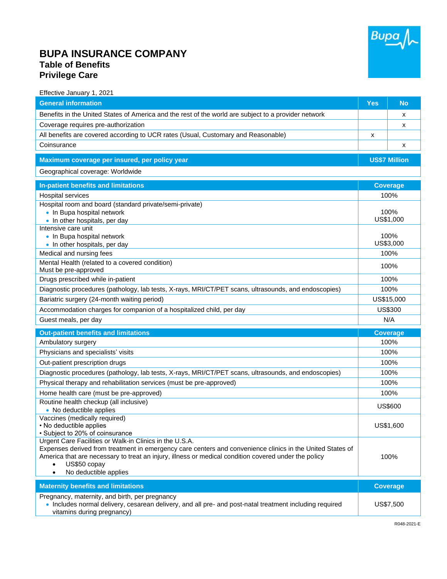

## **BUPA INSURANCE COMPANY Table of Benefits Privilege Care**

| Effective January 1, 2021                                                                                                                                                                                                                                                                                                               |                      |                 |
|-----------------------------------------------------------------------------------------------------------------------------------------------------------------------------------------------------------------------------------------------------------------------------------------------------------------------------------------|----------------------|-----------------|
| <b>General information</b>                                                                                                                                                                                                                                                                                                              | <b>Yes</b>           | <b>No</b>       |
| Benefits in the United States of America and the rest of the world are subject to a provider network                                                                                                                                                                                                                                    |                      | X               |
| Coverage requires pre-authorization                                                                                                                                                                                                                                                                                                     |                      | x               |
| All benefits are covered according to UCR rates (Usual, Customary and Reasonable)                                                                                                                                                                                                                                                       | x                    |                 |
| Coinsurance                                                                                                                                                                                                                                                                                                                             |                      | х               |
| Maximum coverage per insured, per policy year                                                                                                                                                                                                                                                                                           | <b>US\$7 Million</b> |                 |
| Geographical coverage: Worldwide                                                                                                                                                                                                                                                                                                        |                      |                 |
| <b>In-patient benefits and limitations</b>                                                                                                                                                                                                                                                                                              | <b>Coverage</b>      |                 |
| Hospital services                                                                                                                                                                                                                                                                                                                       | 100%                 |                 |
| Hospital room and board (standard private/semi-private)                                                                                                                                                                                                                                                                                 |                      |                 |
| • In Bupa hospital network                                                                                                                                                                                                                                                                                                              | 100%<br>US\$1,000    |                 |
| • In other hospitals, per day<br>Intensive care unit                                                                                                                                                                                                                                                                                    |                      |                 |
| • In Bupa hospital network                                                                                                                                                                                                                                                                                                              |                      | 100%            |
| • In other hospitals, per day                                                                                                                                                                                                                                                                                                           | US\$3,000            |                 |
| Medical and nursing fees                                                                                                                                                                                                                                                                                                                | 100%                 |                 |
| Mental Health (related to a covered condition)<br>Must be pre-approved                                                                                                                                                                                                                                                                  | 100%                 |                 |
| Drugs prescribed while in-patient                                                                                                                                                                                                                                                                                                       | 100%                 |                 |
| Diagnostic procedures (pathology, lab tests, X-rays, MRI/CT/PET scans, ultrasounds, and endoscopies)                                                                                                                                                                                                                                    | 100%                 |                 |
| Bariatric surgery (24-month waiting period)                                                                                                                                                                                                                                                                                             | US\$15,000           |                 |
| Accommodation charges for companion of a hospitalized child, per day                                                                                                                                                                                                                                                                    | US\$300              |                 |
| Guest meals, per day                                                                                                                                                                                                                                                                                                                    |                      | N/A             |
| <b>Out-patient benefits and limitations</b>                                                                                                                                                                                                                                                                                             |                      | <b>Coverage</b> |
| Ambulatory surgery                                                                                                                                                                                                                                                                                                                      |                      | 100%            |
| Physicians and specialists' visits                                                                                                                                                                                                                                                                                                      |                      | 100%            |
| Out-patient prescription drugs                                                                                                                                                                                                                                                                                                          |                      | 100%            |
| Diagnostic procedures (pathology, lab tests, X-rays, MRI/CT/PET scans, ultrasounds, and endoscopies)                                                                                                                                                                                                                                    |                      | 100%            |
| Physical therapy and rehabilitation services (must be pre-approved)                                                                                                                                                                                                                                                                     |                      | 100%            |
| Home health care (must be pre-approved)                                                                                                                                                                                                                                                                                                 |                      | 100%            |
| Routine health checkup (all inclusive)<br>• No deductible applies                                                                                                                                                                                                                                                                       |                      | US\$600         |
| Vaccines (medically required)<br>• No deductible applies<br>• Subject to 20% of coinsurance                                                                                                                                                                                                                                             |                      | US\$1,600       |
| Urgent Care Facilities or Walk-in Clinics in the U.S.A.<br>Expenses derived from treatment in emergency care centers and convenience clinics in the United States of<br>America that are necessary to treat an injury, illness or medical condition covered under the policy<br>US\$50 copay<br>$\bullet$<br>No deductible applies<br>٠ |                      | 100%            |
| <b>Maternity benefits and limitations</b>                                                                                                                                                                                                                                                                                               |                      | <b>Coverage</b> |
| Pregnancy, maternity, and birth, per pregnancy<br>. Includes normal delivery, cesarean delivery, and all pre- and post-natal treatment including required<br>vitamins during pregnancy)                                                                                                                                                 |                      | US\$7,500       |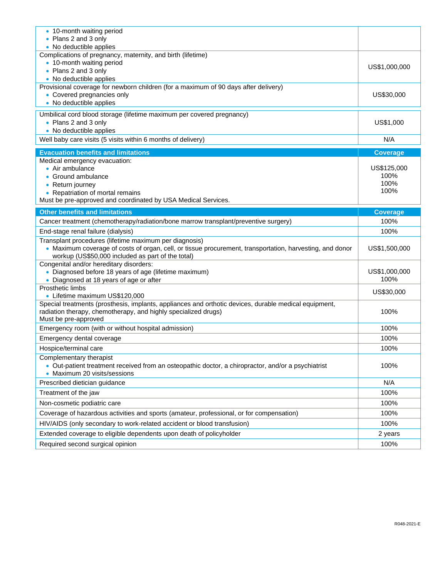| • 10-month waiting period<br>• Plans 2 and 3 only<br>• No deductible applies                                                                                                                                            |                                     |  |
|-------------------------------------------------------------------------------------------------------------------------------------------------------------------------------------------------------------------------|-------------------------------------|--|
| Complications of pregnancy, maternity, and birth (lifetime)<br>• 10-month waiting period<br>• Plans 2 and 3 only<br>• No deductible applies                                                                             | US\$1,000,000                       |  |
| Provisional coverage for newborn children (for a maximum of 90 days after delivery)<br>• Covered pregnancies only<br>• No deductible applies                                                                            | US\$30,000                          |  |
| Umbilical cord blood storage (lifetime maximum per covered pregnancy)<br>• Plans 2 and 3 only<br>• No deductible applies                                                                                                | US\$1,000                           |  |
| Well baby care visits (5 visits within 6 months of delivery)                                                                                                                                                            | N/A                                 |  |
| <b>Evacuation benefits and limitations</b>                                                                                                                                                                              | <b>Coverage</b>                     |  |
| Medical emergency evacuation:<br>• Air ambulance<br>• Ground ambulance<br>• Return journey<br>• Repatriation of mortal remains<br>Must be pre-approved and coordinated by USA Medical Services.                         | US\$125,000<br>100%<br>100%<br>100% |  |
| <b>Other benefits and limitations</b>                                                                                                                                                                                   | <b>Coverage</b>                     |  |
| Cancer treatment (chemotherapy/radiation/bone marrow transplant/preventive surgery)                                                                                                                                     | 100%                                |  |
| End-stage renal failure (dialysis)                                                                                                                                                                                      | 100%                                |  |
| Transplant procedures (lifetime maximum per diagnosis)<br>• Maximum coverage of costs of organ, cell, or tissue procurement, transportation, harvesting, and donor<br>workup (US\$50,000 included as part of the total) | US\$1,500,000                       |  |
| Congenital and/or hereditary disorders:<br>• Diagnosed before 18 years of age (lifetime maximum)<br>• Diagnosed at 18 years of age or after                                                                             | US\$1,000,000<br>100%               |  |
| Prosthetic limbs<br>• Lifetime maximum US\$120,000                                                                                                                                                                      | US\$30,000                          |  |
| Special treatments (prosthesis, implants, appliances and orthotic devices, durable medical equipment,<br>radiation therapy, chemotherapy, and highly specialized drugs)<br>Must be pre-approved                         | 100%                                |  |
| Emergency room (with or without hospital admission)                                                                                                                                                                     | 100%                                |  |
| Emergency dental coverage                                                                                                                                                                                               | 100%                                |  |
| Hospice/terminal care                                                                                                                                                                                                   | 100%                                |  |
| Complementary therapist<br>• Out-patient treatment received from an osteopathic doctor, a chiropractor, and/or a psychiatrist<br>• Maximum 20 visits/sessions                                                           | 100%                                |  |
| Prescribed dietician guidance                                                                                                                                                                                           | N/A                                 |  |
| Treatment of the jaw                                                                                                                                                                                                    | 100%                                |  |
| Non-cosmetic podiatric care                                                                                                                                                                                             | 100%                                |  |
| Coverage of hazardous activities and sports (amateur, professional, or for compensation)                                                                                                                                | 100%                                |  |
| HIV/AIDS (only secondary to work-related accident or blood transfusion)                                                                                                                                                 | 100%                                |  |
| Extended coverage to eligible dependents upon death of policyholder                                                                                                                                                     | 2 years                             |  |
| Required second surgical opinion                                                                                                                                                                                        | 100%                                |  |